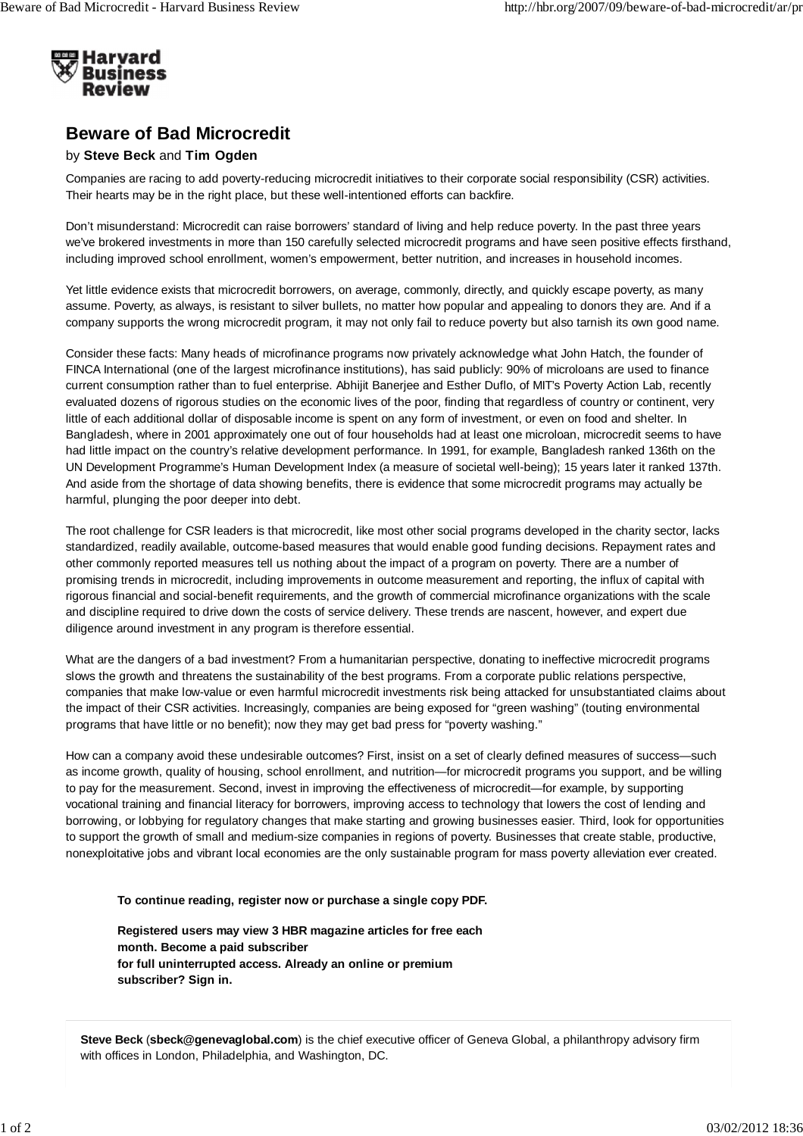

## **Beware of Bad Microcredit**

## by **Steve Beck** and **Tim Ogden**

Companies are racing to add poverty-reducing microcredit initiatives to their corporate social responsibility (CSR) activities. Their hearts may be in the right place, but these well-intentioned efforts can backfire.

Don't misunderstand: Microcredit can raise borrowers' standard of living and help reduce poverty. In the past three years we've brokered investments in more than 150 carefully selected microcredit programs and have seen positive effects firsthand, including improved school enrollment, women's empowerment, better nutrition, and increases in household incomes.

Yet little evidence exists that microcredit borrowers, on average, commonly, directly, and quickly escape poverty, as many assume. Poverty, as always, is resistant to silver bullets, no matter how popular and appealing to donors they are. And if a company supports the wrong microcredit program, it may not only fail to reduce poverty but also tarnish its own good name.

Consider these facts: Many heads of microfinance programs now privately acknowledge what John Hatch, the founder of FINCA International (one of the largest microfinance institutions), has said publicly: 90% of microloans are used to finance current consumption rather than to fuel enterprise. Abhijit Banerjee and Esther Duflo, of MIT's Poverty Action Lab, recently evaluated dozens of rigorous studies on the economic lives of the poor, finding that regardless of country or continent, very little of each additional dollar of disposable income is spent on any form of investment, or even on food and shelter. In Bangladesh, where in 2001 approximately one out of four households had at least one microloan, microcredit seems to have had little impact on the country's relative development performance. In 1991, for example, Bangladesh ranked 136th on the UN Development Programme's Human Development Index (a measure of societal well-being); 15 years later it ranked 137th. And aside from the shortage of data showing benefits, there is evidence that some microcredit programs may actually be harmful, plunging the poor deeper into debt.

The root challenge for CSR leaders is that microcredit, like most other social programs developed in the charity sector, lacks standardized, readily available, outcome-based measures that would enable good funding decisions. Repayment rates and other commonly reported measures tell us nothing about the impact of a program on poverty. There are a number of promising trends in microcredit, including improvements in outcome measurement and reporting, the influx of capital with rigorous financial and social-benefit requirements, and the growth of commercial microfinance organizations with the scale and discipline required to drive down the costs of service delivery. These trends are nascent, however, and expert due diligence around investment in any program is therefore essential.

What are the dangers of a bad investment? From a humanitarian perspective, donating to ineffective microcredit programs slows the growth and threatens the sustainability of the best programs. From a corporate public relations perspective, companies that make low-value or even harmful microcredit investments risk being attacked for unsubstantiated claims about the impact of their CSR activities. Increasingly, companies are being exposed for "green washing" (touting environmental programs that have little or no benefit); now they may get bad press for "poverty washing."

How can a company avoid these undesirable outcomes? First, insist on a set of clearly defined measures of success—such as income growth, quality of housing, school enrollment, and nutrition—for microcredit programs you support, and be willing to pay for the measurement. Second, invest in improving the effectiveness of microcredit—for example, by supporting vocational training and financial literacy for borrowers, improving access to technology that lowers the cost of lending and borrowing, or lobbying for regulatory changes that make starting and growing businesses easier. Third, look for opportunities to support the growth of small and medium-size companies in regions of poverty. Businesses that create stable, productive, nonexploitative jobs and vibrant local economies are the only sustainable program for mass poverty alleviation ever created.

## **To continue reading, register now or purchase a single copy PDF.**

**Registered users may view 3 HBR magazine articles for free each month. Become a paid subscriber for full uninterrupted access. Already an online or premium subscriber? Sign in.**

**Steve Beck** (**sbeck@genevaglobal.com**) is the chief executive officer of Geneva Global, a philanthropy advisory firm with offices in London, Philadelphia, and Washington, DC.